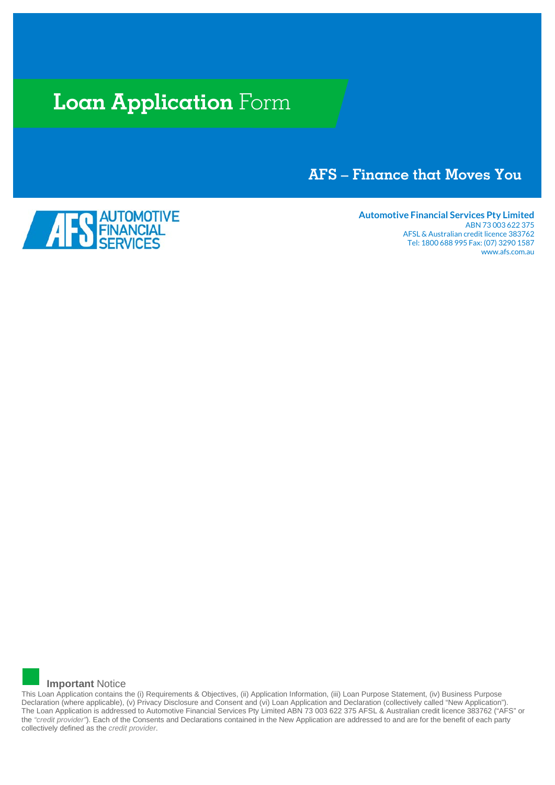# **Loan Application** Form

# **AFS – Finance that Moves You**



**Automotive Financial Services Pty Limited** ABN 73 003 622 375 AFSL & Australian credit licence 383762 Tel: 1800 688 995 Fax: (07) 3290 1587 www.afs.com.au



This Loan Application contains the (i) Requirements & Objectives, (ii) Application Information, (iii) Loan Purpose Statement, (iv) Business Purpose Declaration (where applicable), (v) Privacy Disclosure and Consent and (vi) Loan Application and Declaration (collectively called "New Application"). The Loan Application is addressed to Automotive Financial Services Pty Limited ABN 73 003 622 375 AFSL & Australian credit licence 383762 ("AFS" or the *"credit provider"*). Each of the Consents and Declarations contained in the New Application are addressed to and are for the benefit of each party collectively defined as the *credit provider*.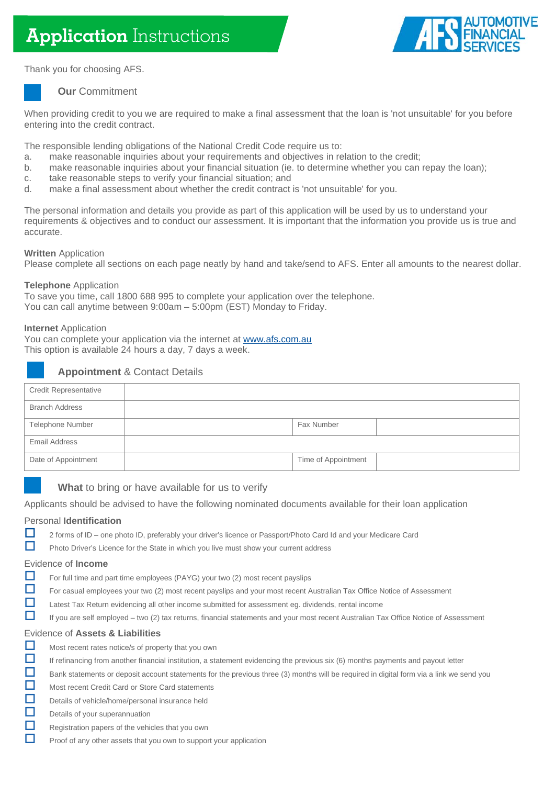

Thank you for choosing AFS.



# **Our** Commitment

When providing credit to you we are required to make a final assessment that the loan is 'not unsuitable' for you before entering into the credit contract.

The responsible lending obligations of the National Credit Code require us to:

- a. make reasonable inquiries about your requirements and objectives in relation to the credit;<br>b. make reasonable inquiries about your financial situation (ie. to determine whether you can
- make reasonable inquiries about your financial situation (ie. to determine whether you can repay the loan);
- c. take reasonable steps to verify your financial situation; and<br>d. make a final assessment about whether the credit contract
- make a final assessment about whether the credit contract is 'not unsuitable' for you.

The personal information and details you provide as part of this application will be used by us to understand your requirements & objectives and to conduct our assessment. It is important that the information you provide us is true and accurate.

# **Written** Application

Please complete all sections on each page neatly by hand and take/send to AFS. Enter all amounts to the nearest dollar.

# **Telephone** Application

To save you time, call 1800 688 995 to complete your application over the telephone. You can call anytime between 9:00am – 5:00pm (EST) Monday to Friday.

## **Internet** Application

You can complete your application via the internet at [www.afs.com.au](https://www.afs.com.au/) This option is available 24 hours a day, 7 days a week.

# **Appointment** & Contact Details

| <b>Credit Representative</b> |                     |  |
|------------------------------|---------------------|--|
| <b>Branch Address</b>        |                     |  |
| Telephone Number             | Fax Number          |  |
| <b>Email Address</b>         |                     |  |
| Date of Appointment          | Time of Appointment |  |

# **What** to bring or have available for us to verify

Applicants should be advised to have the following nominated documents available for their loan application

# Personal **Identification**

- 2 forms of ID one photo ID, preferably your driver's licence or Passport/Photo Card Id and your Medicare Card
- **Photo Driver's Licence for the State in which you live must show your current address**

### Evidence of **Income**

- For full time and part time employees (PAYG) your two (2) most recent payslips
- For casual employees your two (2) most recent payslips and your most recent Australian Tax Office Notice of Assessment
- **Latest Tax Return evidencing all other income submitted for assessment eg. dividends, rental income**
- If you are self employed two (2) tax returns, financial statements and your most recent Australian Tax Office Notice of Assessment

### Evidence of **Assets & Liabilities**

- Most recent rates notice/s of property that you own
- $\Box$  If refinancing from another financial institution, a statement evidencing the previous six (6) months payments and payout letter
- Bank statements or deposit account statements for the previous three (3) months will be required in digital form via a link we send you
- Most recent Credit Card or Store Card statements
- Details of vehicle/home/personal insurance held
- Details of your superannuation
- Registration papers of the vehicles that you own
- $\Box$  Proof of any other assets that you own to support your application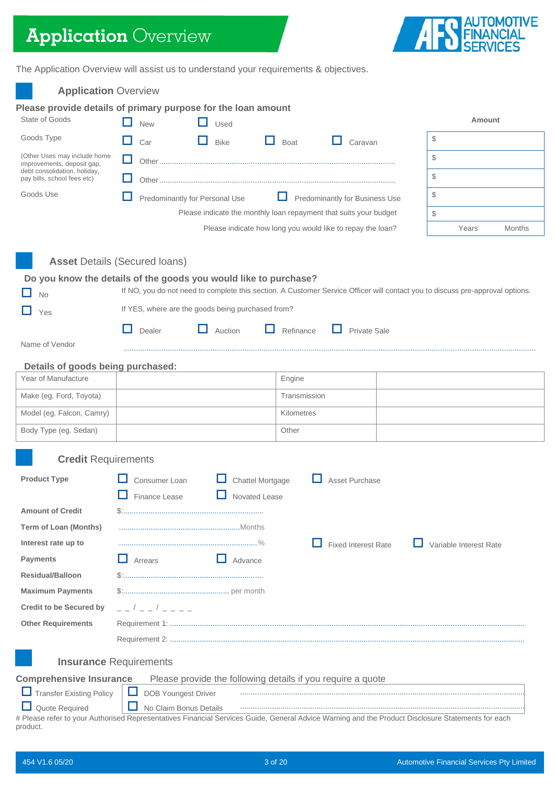# **Application** Overview



The Application Overview will assist us to understand your requirements & objectives.

| <b>Application Overview</b>                                      |                                      |                                                                   |                  |              |                                |                                                                                                                                                   |
|------------------------------------------------------------------|--------------------------------------|-------------------------------------------------------------------|------------------|--------------|--------------------------------|---------------------------------------------------------------------------------------------------------------------------------------------------|
| Please provide details of primary purpose for the loan amount    |                                      |                                                                   |                  |              |                                |                                                                                                                                                   |
| State of Goods                                                   | <b>New</b>                           | Used                                                              |                  |              |                                | <b>Amount</b>                                                                                                                                     |
| Goods Type                                                       | Car                                  | H<br><b>Bike</b>                                                  | . .              | Boat         | Caravan                        | \$                                                                                                                                                |
| (Other Uses may include home<br>improvements, deposit gap,       | ப                                    |                                                                   |                  |              |                                | \$                                                                                                                                                |
| debt consolidation, holiday,<br>pay bills, school fees etc)      |                                      |                                                                   |                  |              |                                | \$                                                                                                                                                |
| Goods Use                                                        |                                      | Predominantly for Personal Use                                    |                  |              | Predominantly for Business Use | $\mathcal{S}$                                                                                                                                     |
|                                                                  |                                      | Please indicate the monthly loan repayment that suits your budget |                  |              |                                | \$                                                                                                                                                |
|                                                                  |                                      | Please indicate how long you would like to repay the loan?        |                  |              |                                | Years<br><b>Months</b>                                                                                                                            |
|                                                                  | <b>Asset Details (Secured loans)</b> |                                                                   |                  |              |                                |                                                                                                                                                   |
| Do you know the details of the goods you would like to purchase? |                                      |                                                                   |                  |              |                                |                                                                                                                                                   |
| <b>No</b>                                                        |                                      |                                                                   |                  |              |                                | If NO, you do not need to complete this section. A Customer Service Officer will contact you to discuss pre-approval options.                     |
| Yes                                                              |                                      | If YES, where are the goods being purchased from?                 |                  |              |                                |                                                                                                                                                   |
|                                                                  | Dealer                               | Auction                                                           |                  | Refinance    | Private Sale                   |                                                                                                                                                   |
| Name of Vendor                                                   |                                      |                                                                   |                  |              |                                |                                                                                                                                                   |
| Details of goods being purchased:                                |                                      |                                                                   |                  |              |                                |                                                                                                                                                   |
| Year of Manufacture                                              |                                      |                                                                   |                  | Engine       |                                |                                                                                                                                                   |
| Make (eg. Ford, Toyota)                                          |                                      |                                                                   |                  | Transmission |                                |                                                                                                                                                   |
| Model (eg. Falcon, Camry)                                        |                                      |                                                                   |                  | Kilometres   |                                |                                                                                                                                                   |
| Body Type (eg. Sedan)                                            |                                      |                                                                   |                  | Other        |                                |                                                                                                                                                   |
| <b>Credit Requirements</b>                                       |                                      |                                                                   |                  |              |                                |                                                                                                                                                   |
| <b>Product Type</b>                                              | Consumer Loan                        |                                                                   | Chattel Mortgage |              | <b>Asset Purchase</b>          |                                                                                                                                                   |
|                                                                  | $\Box$ Finance Lease                 | Novated Lease                                                     |                  |              |                                |                                                                                                                                                   |
| <b>Amount of Credit</b>                                          |                                      |                                                                   |                  |              |                                |                                                                                                                                                   |
| <b>Term of Loan (Months)</b>                                     |                                      |                                                                   |                  |              |                                |                                                                                                                                                   |
| Interest rate up to                                              |                                      |                                                                   |                  |              | <b>Fixed Interest Rate</b>     | Variable Interest Rate                                                                                                                            |
| <b>Payments</b>                                                  | H<br>Arrears                         | Advance                                                           |                  |              |                                |                                                                                                                                                   |
| <b>Residual/Balloon</b>                                          |                                      |                                                                   |                  |              |                                |                                                                                                                                                   |
| <b>Maximum Payments</b>                                          |                                      |                                                                   |                  |              |                                |                                                                                                                                                   |
| <b>Credit to be Secured by</b>                                   | _ _ / _ _ / _ _ _ _                  |                                                                   |                  |              |                                |                                                                                                                                                   |
| <b>Other Requirements</b>                                        |                                      |                                                                   |                  |              |                                |                                                                                                                                                   |
|                                                                  |                                      |                                                                   |                  |              |                                |                                                                                                                                                   |
|                                                                  | <b>Insurance Requirements</b>        |                                                                   |                  |              |                                |                                                                                                                                                   |
| <b>Comprehensive Insurance</b>                                   |                                      | Please provide the following details if you require a quote       |                  |              |                                |                                                                                                                                                   |
| Transfer Existing Policy                                         | <b>DOB Youngest Driver</b>           |                                                                   |                  |              |                                |                                                                                                                                                   |
| Quote Required                                                   | No Claim Bonus Details               |                                                                   |                  |              |                                |                                                                                                                                                   |
| product.                                                         |                                      |                                                                   |                  |              |                                | # Please refer to your Authorised Representatives Financial Services Guide, General Advice Warning and the Product Disclosure Statements for each |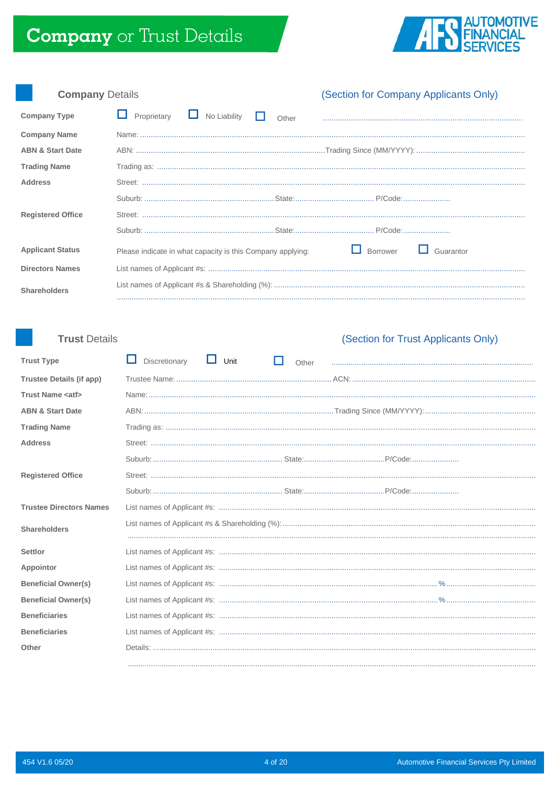

| <b>Company Details</b>      |                                                            |       | (Section for Company Applicants Only) |           |
|-----------------------------|------------------------------------------------------------|-------|---------------------------------------|-----------|
| <b>Company Type</b>         | Proprietary<br>No Liability                                | Other |                                       |           |
| <b>Company Name</b>         |                                                            |       |                                       |           |
| <b>ABN &amp; Start Date</b> |                                                            |       |                                       |           |
| <b>Trading Name</b>         |                                                            |       |                                       |           |
| <b>Address</b>              |                                                            |       |                                       |           |
|                             |                                                            |       |                                       |           |
| <b>Registered Office</b>    |                                                            |       |                                       |           |
|                             |                                                            |       |                                       |           |
| <b>Applicant Status</b>     | Please indicate in what capacity is this Company applying: |       | Borrower                              | Guarantor |
| <b>Directors Names</b>      |                                                            |       |                                       |           |
| <b>Shareholders</b>         |                                                            |       |                                       |           |
|                             |                                                            |       |                                       |           |

# **Trust Details**

# (Section for Trust Applicants Only)

| <b>Trust Type</b>               | Discretionary<br>Unit | Other |  |
|---------------------------------|-----------------------|-------|--|
| <b>Trustee Details (if app)</b> |                       |       |  |
| <b>Trust Name <atf></atf></b>   |                       |       |  |
| <b>ABN &amp; Start Date</b>     |                       |       |  |
| <b>Trading Name</b>             |                       |       |  |
| <b>Address</b>                  |                       |       |  |
|                                 |                       |       |  |
| <b>Registered Office</b>        |                       |       |  |
|                                 |                       |       |  |
| <b>Trustee Directors Names</b>  |                       |       |  |
| <b>Shareholders</b>             |                       |       |  |
| <b>Settlor</b>                  |                       |       |  |
| Appointor                       |                       |       |  |
| <b>Beneficial Owner(s)</b>      |                       |       |  |
| <b>Beneficial Owner(s)</b>      |                       |       |  |
| <b>Beneficiaries</b>            |                       |       |  |
| <b>Beneficiaries</b>            |                       |       |  |
| Other                           |                       |       |  |
|                                 |                       |       |  |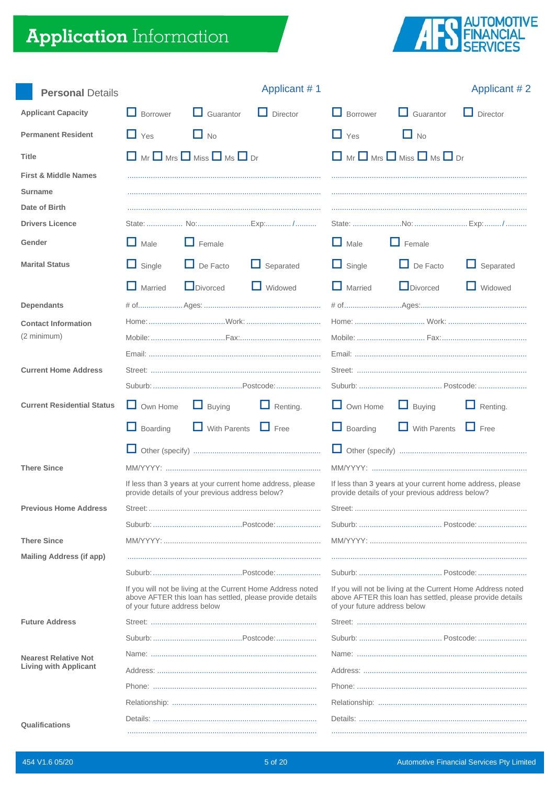# **Application** Information



| <b>Personal Details</b>                                            |                              |                                                      | Applicant #1                                                                                                             |                                                           |                                                                                                                          | Applicant #2     |  |
|--------------------------------------------------------------------|------------------------------|------------------------------------------------------|--------------------------------------------------------------------------------------------------------------------------|-----------------------------------------------------------|--------------------------------------------------------------------------------------------------------------------------|------------------|--|
| <b>Applicant Capacity</b>                                          | $\Box$ Borrower              | $\Box$ Guarantor                                     | $\Box$ Director                                                                                                          | <b>Borrower</b>                                           | $\Box$ Guarantor                                                                                                         | $\Box$ Director  |  |
| <b>Permanent Resident</b>                                          | $\Box$ Yes                   | $\Box$ No                                            |                                                                                                                          | $\Box$ Yes                                                | $\Box$ No                                                                                                                |                  |  |
| <b>Title</b>                                                       |                              | $\Box$ Mr $\Box$ Mrs $\Box$ Miss $\Box$ Ms $\Box$ Dr |                                                                                                                          |                                                           | $\Box$ Mr $\Box$ Mrs $\Box$ Miss $\Box$ Ms $\Box$ Dr                                                                     |                  |  |
| <b>First &amp; Middle Names</b><br><b>Surname</b><br>Date of Birth |                              |                                                      |                                                                                                                          |                                                           |                                                                                                                          |                  |  |
| <b>Drivers Licence</b>                                             |                              |                                                      |                                                                                                                          |                                                           |                                                                                                                          |                  |  |
| Gender                                                             | $\Box$ Male                  | $\Box$ Female                                        |                                                                                                                          | $\Box$ Male                                               | $\Box$ Female                                                                                                            |                  |  |
| <b>Marital Status</b>                                              | $\Box$ Single                | $\Box$ De Facto                                      | $\Box$ Separated                                                                                                         | $\Box$ Single                                             | $\Box$ De Facto                                                                                                          | $\Box$ Separated |  |
|                                                                    | $\Box$ Married               | Divorced                                             | $\Box$ Widowed                                                                                                           | $\Box$ Married                                            | Divorced                                                                                                                 | $\Box$ Widowed   |  |
| <b>Dependants</b>                                                  |                              |                                                      |                                                                                                                          |                                                           |                                                                                                                          |                  |  |
| <b>Contact Information</b><br>(2 minimum)                          |                              |                                                      |                                                                                                                          |                                                           |                                                                                                                          |                  |  |
| <b>Current Home Address</b>                                        |                              |                                                      |                                                                                                                          |                                                           |                                                                                                                          |                  |  |
| <b>Current Residential Status</b>                                  | $\Box$ Own Home              | $\Box$ Buying                                        | $\Box$ Renting.                                                                                                          | $\Box$ Own Home                                           | $\Box$ Buying                                                                                                            | $\Box$ Renting.  |  |
|                                                                    | $\Box$ Boarding              | $\Box$ With Parents $\Box$ Free                      |                                                                                                                          | $\Box$ Boarding                                           | $\Box$ With Parents $\Box$ Free                                                                                          |                  |  |
|                                                                    | ப                            |                                                      |                                                                                                                          | ш                                                         |                                                                                                                          |                  |  |
| <b>There Since</b>                                                 |                              | provide details of your previous address below?      | If less than 3 years at your current home address, please                                                                | If less than 3 years at your current home address, please |                                                                                                                          |                  |  |
| <b>Previous Home Address</b>                                       |                              |                                                      |                                                                                                                          | provide details of your previous address below?           |                                                                                                                          |                  |  |
|                                                                    |                              |                                                      |                                                                                                                          |                                                           |                                                                                                                          |                  |  |
| <b>There Since</b>                                                 |                              |                                                      |                                                                                                                          |                                                           |                                                                                                                          |                  |  |
| <b>Mailing Address (if app)</b>                                    |                              |                                                      |                                                                                                                          |                                                           |                                                                                                                          |                  |  |
|                                                                    | of your future address below |                                                      | If you will not be living at the Current Home Address noted<br>above AFTER this loan has settled, please provide details | of your future address below                              | If you will not be living at the Current Home Address noted<br>above AFTER this loan has settled, please provide details |                  |  |
| <b>Future Address</b>                                              |                              |                                                      |                                                                                                                          |                                                           |                                                                                                                          |                  |  |
|                                                                    |                              |                                                      |                                                                                                                          |                                                           |                                                                                                                          |                  |  |
| <b>Nearest Relative Not</b>                                        |                              |                                                      |                                                                                                                          |                                                           |                                                                                                                          |                  |  |
| <b>Living with Applicant</b>                                       |                              |                                                      |                                                                                                                          |                                                           |                                                                                                                          |                  |  |
|                                                                    |                              |                                                      |                                                                                                                          |                                                           |                                                                                                                          |                  |  |
|                                                                    |                              |                                                      |                                                                                                                          |                                                           |                                                                                                                          |                  |  |
| Qualifications                                                     |                              |                                                      |                                                                                                                          |                                                           |                                                                                                                          |                  |  |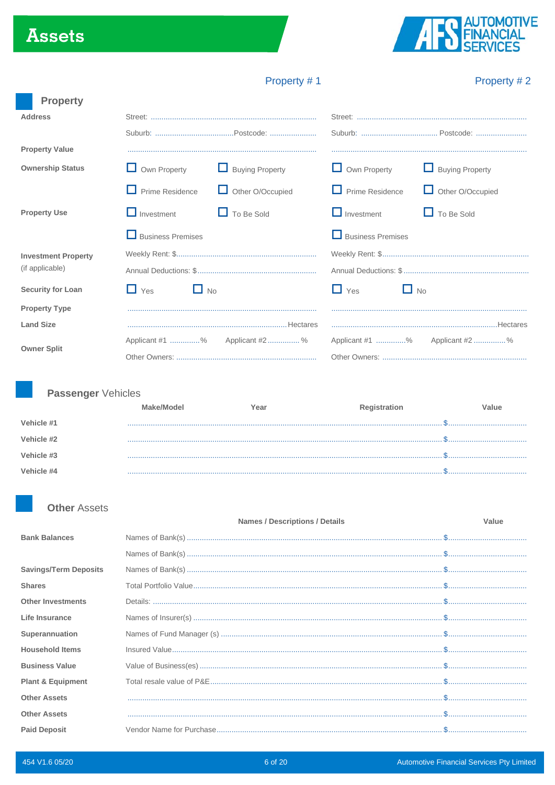# **Assets**



# Property #1

# Property #2

| <b>Property</b>            |                          |                                |                          |                               |
|----------------------------|--------------------------|--------------------------------|--------------------------|-------------------------------|
| <b>Address</b>             |                          |                                |                          |                               |
|                            |                          |                                |                          |                               |
| <b>Property Value</b>      |                          |                                |                          |                               |
| <b>Ownership Status</b>    | $\Box$ Own Property      | <b>L</b> Buying Property       | $\Box$ Own Property      | $\Box$ Buying Property        |
|                            | $\Box$ Prime Residence   | Other O/Occupied               | $\Box$ Prime Residence   | Other O/Occupied              |
| <b>Property Use</b>        | $\Box$ Investment        | $\Box$ To Be Sold              | $\Box$ Investment        | $\Box$ To Be Sold             |
|                            | <b>Business Premises</b> |                                | $\Box$ Business Premises |                               |
| <b>Investment Property</b> |                          |                                |                          |                               |
| (if applicable)            |                          |                                |                          |                               |
| <b>Security for Loan</b>   | $\Box$ Yes<br>$\Box$ No  |                                | $\Box$ Yes               | $\Box$ No                     |
| <b>Property Type</b>       |                          |                                |                          |                               |
| <b>Land Size</b>           |                          |                                |                          |                               |
|                            |                          | Applicant #1 % Applicant #2  % |                          | Applicant #1 % Applicant #2 % |
| <b>Owner Split</b>         |                          |                                |                          |                               |

# Passenger Vehicles

|            | ake/Model | ∕ear | <b>Registration</b> | /alue |
|------------|-----------|------|---------------------|-------|
| Vehicle #1 |           |      |                     |       |
| Vehicle #2 |           |      |                     |       |
|            |           |      |                     |       |
| Vehicle #3 |           |      |                     |       |
| Vehicle #4 |           |      |                     |       |

# **Other Assets**

|                              | <b>Names / Descriptions / Details</b>                                                                                                                                                                                                                          | Value |
|------------------------------|----------------------------------------------------------------------------------------------------------------------------------------------------------------------------------------------------------------------------------------------------------------|-------|
| <b>Bank Balances</b>         |                                                                                                                                                                                                                                                                |       |
|                              |                                                                                                                                                                                                                                                                |       |
| <b>Savings/Term Deposits</b> | $\mathsf{Names}\ \mathsf{of}\ \mathsf{Bank}(\mathsf{s})\ \mathsf{}\ \mathsf{}\ \mathsf{}\ \mathsf{}\ \mathsf{}\ \mathsf{}\ \mathsf{}\ \mathsf{}\ \mathsf{}\ \mathsf{}\ \mathsf{}\ \mathsf{}\ \mathsf{}\ \mathsf{}\ \mathsf{}\ \mathsf{}\ \mathsf{}\ \mathsf{}$ |       |
| <b>Shares</b>                |                                                                                                                                                                                                                                                                |       |
| <b>Other Investments</b>     |                                                                                                                                                                                                                                                                |       |
| Life Insurance               |                                                                                                                                                                                                                                                                |       |
| Superannuation               |                                                                                                                                                                                                                                                                |       |
| <b>Household Items</b>       |                                                                                                                                                                                                                                                                |       |
| <b>Business Value</b>        |                                                                                                                                                                                                                                                                |       |
| <b>Plant &amp; Equipment</b> |                                                                                                                                                                                                                                                                |       |
| <b>Other Assets</b>          |                                                                                                                                                                                                                                                                |       |
| <b>Other Assets</b>          |                                                                                                                                                                                                                                                                |       |
| <b>Paid Deposit</b>          |                                                                                                                                                                                                                                                                |       |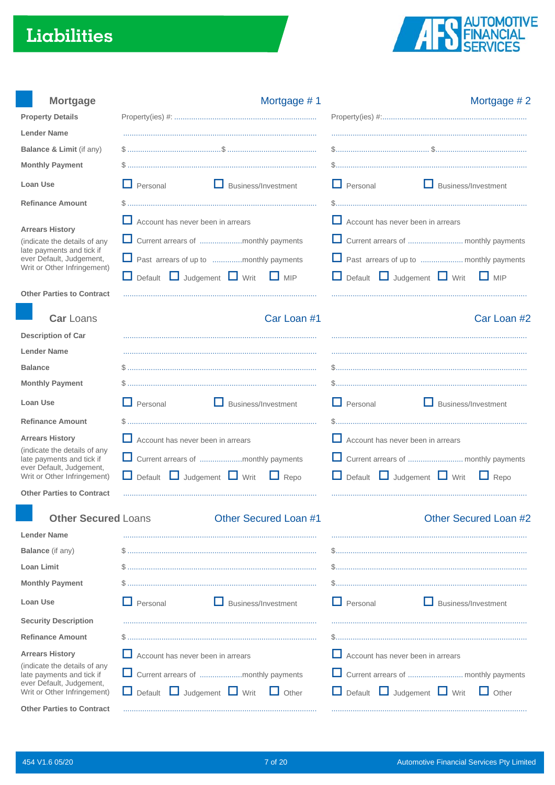# Liabilities



| <b>Mortgage</b>                                           | Mortgage #1                                            | Mortgage #2                                             |
|-----------------------------------------------------------|--------------------------------------------------------|---------------------------------------------------------|
| <b>Property Details</b>                                   |                                                        |                                                         |
| <b>Lender Name</b>                                        |                                                        |                                                         |
| Balance & Limit (if any)                                  |                                                        |                                                         |
| <b>Monthly Payment</b>                                    |                                                        |                                                         |
| <b>Loan Use</b>                                           | $\Box$ Personal<br>Business/Investment                 | H<br>Personal<br>Business/Investment                    |
| <b>Refinance Amount</b>                                   |                                                        |                                                         |
| <b>Arrears History</b>                                    | $\Box$ Account has never been in arrears               | $\Box$ Account has never been in arrears                |
| (indicate the details of any                              | Current arrears of monthly payments                    |                                                         |
| late payments and tick if<br>ever Default, Judgement,     | Past arrears of up to monthly payments                 | Past arrears of up to  monthly payments                 |
| Writ or Other Infringement)                               | Default <b>D</b> Judgement <b>D</b> Writ<br>$\Box$ MIP | ப<br>Default $\Box$ Judgement $\Box$ Writ<br>$\Box$ MIP |
| <b>Other Parties to Contract</b>                          |                                                        |                                                         |
| <b>Car Loans</b>                                          | Car Loan #1                                            | Car Loan #2                                             |
| <b>Description of Car</b>                                 |                                                        |                                                         |
| <b>Lender Name</b>                                        |                                                        |                                                         |
| <b>Balance</b>                                            |                                                        |                                                         |
| <b>Monthly Payment</b>                                    |                                                        |                                                         |
| <b>Loan Use</b>                                           | Business/Investment<br>$\Box$ Personal                 | H<br>Business/Investment<br>Personal                    |
| <b>Refinance Amount</b>                                   |                                                        |                                                         |
| <b>Arrears History</b>                                    | $\Box$ Account has never been in arrears               | $\Box$ Account has never been in arrears                |
| (indicate the details of any<br>late payments and tick if | Current arrears of monthly payments                    |                                                         |
| ever Default, Judgement,<br>Writ or Other Infringement)   | Judgement Writ<br>$\Box$ Default<br>Repo               | Default $\Box$ Judgement $\Box$ Writ<br>$\Box$ Repo     |
| <b>Other Parties to Contract</b>                          |                                                        |                                                         |
|                                                           |                                                        |                                                         |
| <b>Other Secured Loans</b>                                | <b>Other Secured Loan #1</b>                           | Other Secured Loan #2                                   |
| <b>Lender Name</b>                                        |                                                        |                                                         |
| <b>Balance</b> (if any)<br><b>Loan Limit</b>              |                                                        |                                                         |
| <b>Monthly Payment</b>                                    |                                                        |                                                         |
| <b>Loan Use</b>                                           | $\Box$ Personal<br>Business/Investment                 | $\Box$ Personal<br>Business/Investment                  |
|                                                           |                                                        |                                                         |
| <b>Security Description</b>                               |                                                        |                                                         |
| <b>Refinance Amount</b>                                   |                                                        |                                                         |
| <b>Arrears History</b><br>(indicate the details of any    | Account has never been in arrears                      | $\Box$ Account has never been in arrears                |
| late payments and tick if<br>ever Default, Judgement,     | Current arrears of monthly payments                    |                                                         |
| Writ or Other Infringement)                               | Default U Judgement U Writ<br>$\Box$ Other             | Default U Judgement U Writ<br>$\Box$ Other              |
| <b>Other Parties to Contract</b>                          |                                                        |                                                         |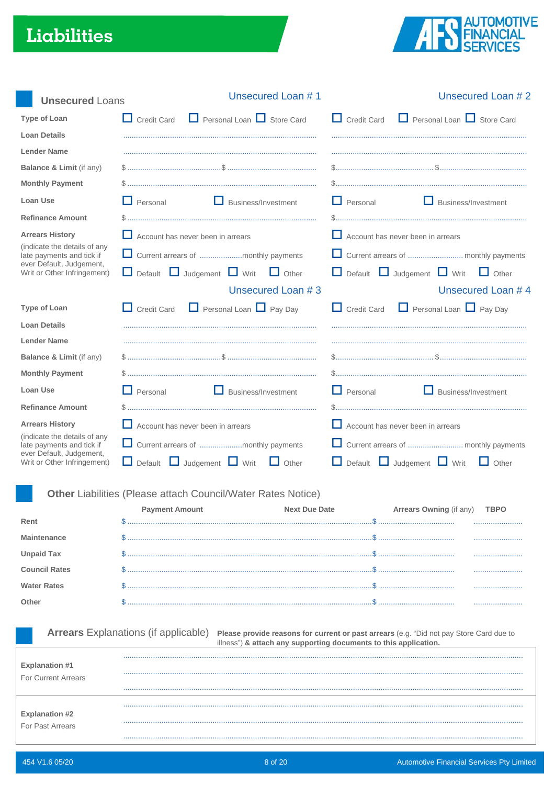# Liabilities



| <b>Unsecured Loans</b>                                    | Unsecured Loan #1                                                   | Unsecured Loan #2                                                                                                                                           |
|-----------------------------------------------------------|---------------------------------------------------------------------|-------------------------------------------------------------------------------------------------------------------------------------------------------------|
| <b>Type of Loan</b>                                       | $\Box$ Personal Loan $\Box$ Store Card<br>$\Box$ Credit Card        | $\Box$ Personal Loan $\Box$ Store Card<br>$\Box$ Credit Card                                                                                                |
| <b>Loan Details</b>                                       |                                                                     |                                                                                                                                                             |
| <b>Lender Name</b>                                        |                                                                     |                                                                                                                                                             |
| Balance & Limit (if any)                                  |                                                                     |                                                                                                                                                             |
| <b>Monthly Payment</b>                                    |                                                                     |                                                                                                                                                             |
| Loan Use                                                  | $\Box$ Personal<br>Business/Investment                              | H<br>Personal<br>Business/Investment                                                                                                                        |
| <b>Refinance Amount</b>                                   |                                                                     |                                                                                                                                                             |
| <b>Arrears History</b>                                    | $\Box$ Account has never been in arrears                            | $\Box$ Account has never been in arrears                                                                                                                    |
| (indicate the details of any<br>late payments and tick if | Current arrears of monthly payments                                 |                                                                                                                                                             |
| ever Default, Judgement,<br>Writ or Other Infringement)   | Default Judgement U Writ<br>$\Box$ Other<br>$\Box$                  | Default $\Box$ Judgement $\Box$ Writ<br>ш<br>$\Box$ Other                                                                                                   |
|                                                           | Unsecured Loan #3                                                   | Unsecured Loan #4                                                                                                                                           |
| <b>Type of Loan</b>                                       | $\Box$ Personal Loan $\Box$ Pay Day<br>$\Box$ Credit Card           | $\Box$ Personal Loan $\Box$ Pay Day<br>$\Box$ Credit Card                                                                                                   |
| <b>Loan Details</b>                                       |                                                                     |                                                                                                                                                             |
| <b>Lender Name</b>                                        |                                                                     |                                                                                                                                                             |
| Balance & Limit (if any)                                  |                                                                     |                                                                                                                                                             |
| <b>Monthly Payment</b>                                    |                                                                     |                                                                                                                                                             |
| Loan Use                                                  | $\Box$ Personal<br>Business/Investment                              | H<br>Personal<br>Business/Investment                                                                                                                        |
| <b>Refinance Amount</b>                                   |                                                                     |                                                                                                                                                             |
| <b>Arrears History</b>                                    | Account has never been in arrears                                   | $\Box$ Account has never been in arrears                                                                                                                    |
| (indicate the details of any<br>late payments and tick if | Current arrears of monthly payments                                 |                                                                                                                                                             |
| ever Default, Judgement,<br>Writ or Other Infringement)   | Judgement Nrit<br>$\Box$ Default<br>Other                           | Default Judgement Writ<br>$\Box$ Other                                                                                                                      |
|                                                           |                                                                     |                                                                                                                                                             |
|                                                           | <b>Other Liabilities (Please attach Council/Water Rates Notice)</b> |                                                                                                                                                             |
|                                                           | <b>Payment Amount</b><br><b>Next Due Date</b>                       | Arrears Owning (if any)<br><b>TBPO</b>                                                                                                                      |
| Rent                                                      |                                                                     |                                                                                                                                                             |
| <b>Maintenance</b>                                        |                                                                     |                                                                                                                                                             |
| <b>Unpaid Tax</b>                                         |                                                                     |                                                                                                                                                             |
| <b>Council Rates</b>                                      |                                                                     |                                                                                                                                                             |
| <b>Water Rates</b>                                        |                                                                     |                                                                                                                                                             |
| Other                                                     |                                                                     |                                                                                                                                                             |
|                                                           |                                                                     |                                                                                                                                                             |
|                                                           | <b>Arrears</b> Explanations (if applicable)                         | Please provide reasons for current or past arrears (e.g. "Did not pay Store Card due to<br>illness") & attach any supporting documents to this application. |
|                                                           |                                                                     |                                                                                                                                                             |
| <b>Explanation #1</b><br>For Current Arrears              |                                                                     |                                                                                                                                                             |
|                                                           |                                                                     |                                                                                                                                                             |
|                                                           |                                                                     |                                                                                                                                                             |
| <b>Explanation #2</b>                                     |                                                                     |                                                                                                                                                             |
| For Past Arrears                                          |                                                                     |                                                                                                                                                             |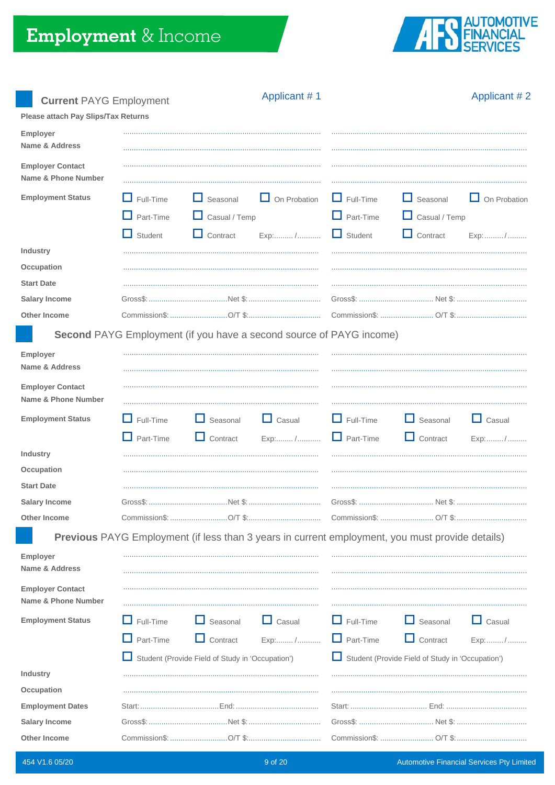

Applicant #2

**Current PAYG Employment** 

| Please attach Pay Slips/Tax Returns            |                                                        |                                                                            |                                                                                                                                                                                                                                                                                                                                                                                                                                                                                                                                                  |                                                        |                                                                                                        |                               |
|------------------------------------------------|--------------------------------------------------------|----------------------------------------------------------------------------|--------------------------------------------------------------------------------------------------------------------------------------------------------------------------------------------------------------------------------------------------------------------------------------------------------------------------------------------------------------------------------------------------------------------------------------------------------------------------------------------------------------------------------------------------|--------------------------------------------------------|--------------------------------------------------------------------------------------------------------|-------------------------------|
| Employer<br>Name & Address                     |                                                        |                                                                            |                                                                                                                                                                                                                                                                                                                                                                                                                                                                                                                                                  |                                                        |                                                                                                        |                               |
| <b>Employer Contact</b><br>Name & Phone Number |                                                        |                                                                            |                                                                                                                                                                                                                                                                                                                                                                                                                                                                                                                                                  |                                                        |                                                                                                        |                               |
| <b>Employment Status</b>                       | $\Box$ Full-Time<br>$\Box$ Part-Time<br>$\Box$ Student | $\Box$ Seasonal<br>$\Box$ Casual / Temp<br>$\Box$ Contract                 | $\Box$ On Probation<br>Exp:/                                                                                                                                                                                                                                                                                                                                                                                                                                                                                                                     | $\Box$ Full-Time<br>$\Box$ Part-Time<br>$\Box$ Student | $\Box$ Seasonal<br>$\Box$ Casual / Temp<br>$\Box$ Contract                                             | $\Box$ On Probation<br>Exp: / |
| Industry                                       |                                                        |                                                                            |                                                                                                                                                                                                                                                                                                                                                                                                                                                                                                                                                  |                                                        |                                                                                                        |                               |
| Occupation<br><b>Start Date</b>                |                                                        |                                                                            |                                                                                                                                                                                                                                                                                                                                                                                                                                                                                                                                                  |                                                        |                                                                                                        |                               |
| <b>Salary Income</b>                           |                                                        |                                                                            |                                                                                                                                                                                                                                                                                                                                                                                                                                                                                                                                                  |                                                        |                                                                                                        |                               |
| <b>Other Income</b>                            |                                                        |                                                                            |                                                                                                                                                                                                                                                                                                                                                                                                                                                                                                                                                  |                                                        |                                                                                                        |                               |
|                                                |                                                        | <b>Second</b> PAYG Employment (if you have a second source of PAYG income) |                                                                                                                                                                                                                                                                                                                                                                                                                                                                                                                                                  |                                                        |                                                                                                        |                               |
| Employer<br>Name & Address                     |                                                        |                                                                            |                                                                                                                                                                                                                                                                                                                                                                                                                                                                                                                                                  |                                                        |                                                                                                        |                               |
| <b>Employer Contact</b><br>Name & Phone Number |                                                        |                                                                            |                                                                                                                                                                                                                                                                                                                                                                                                                                                                                                                                                  |                                                        |                                                                                                        |                               |
| <b>Employment Status</b>                       | $\Box$ Full-Time                                       | $\Box$ Seasonal                                                            | $\Box$ Casual                                                                                                                                                                                                                                                                                                                                                                                                                                                                                                                                    | $\Box$ Full-Time                                       | $\Box$ Seasonal                                                                                        | $\Box$ Casual                 |
| Industry                                       | $\Box$ Part-Time                                       | $\Box$ Contract                                                            | $\ensuremath{\mathsf{Exp}}\xspace\ensuremath{\mathsf{1}\xspace\ensuremath{\mathsf{2}\xspace\mathsf{1}\xspace}}\ensuremath{\mathsf{1}\xspace\ensuremath{\mathsf{1}\xspace\mathsf{2}\xspace}}\xspace\ensuremath{\mathsf{1}\xspace\ensuremath{\mathsf{1}\xspace\mathsf{2}\xspace}}\xspace\ensuremath{\mathsf{1}\xspace\mathsf{1}\xspace\ensuremath{\mathsf{1}\xspace\mathsf{2}\xspace}}\xspace\ensuremath{\mathsf{1}\xspace\mathsf{1}\xspace\mathsf{1}\xspace\mathsf{2}\xspace\mathsf{1}\xspace\mathsf{2}\xspace\mathsf{1}\xspace\mathsf{2}\xspace$ | $\Box$ Part-Time                                       | $\Box$ Contract                                                                                        | Exp:/                         |
| Occupation                                     |                                                        |                                                                            |                                                                                                                                                                                                                                                                                                                                                                                                                                                                                                                                                  |                                                        |                                                                                                        |                               |
| <b>Start Date</b>                              |                                                        |                                                                            |                                                                                                                                                                                                                                                                                                                                                                                                                                                                                                                                                  |                                                        |                                                                                                        |                               |
| <b>Salary Income</b>                           |                                                        |                                                                            |                                                                                                                                                                                                                                                                                                                                                                                                                                                                                                                                                  |                                                        |                                                                                                        |                               |
| <b>Other Income</b>                            |                                                        |                                                                            |                                                                                                                                                                                                                                                                                                                                                                                                                                                                                                                                                  |                                                        |                                                                                                        |                               |
|                                                |                                                        |                                                                            |                                                                                                                                                                                                                                                                                                                                                                                                                                                                                                                                                  |                                                        | <b>Previous</b> PAYG Employment (if less than 3 years in current employment, you must provide details) |                               |
| Employer<br><b>Name &amp; Address</b>          |                                                        |                                                                            |                                                                                                                                                                                                                                                                                                                                                                                                                                                                                                                                                  |                                                        |                                                                                                        |                               |
| <b>Employer Contact</b><br>Name & Phone Number |                                                        |                                                                            |                                                                                                                                                                                                                                                                                                                                                                                                                                                                                                                                                  |                                                        |                                                                                                        |                               |
| <b>Employment Status</b>                       | Full-Time                                              | $\Box$ Seasonal                                                            | $\Box$ Casual                                                                                                                                                                                                                                                                                                                                                                                                                                                                                                                                    | $\Box$ Full-Time                                       | $\Box$ Seasonal                                                                                        | $\Box$ Casual                 |
|                                                | $\Box$ Part-Time                                       | $\Box$ Contract                                                            | Exp:/                                                                                                                                                                                                                                                                                                                                                                                                                                                                                                                                            | $\Box$ Part-Time                                       | $\Box$ Contract                                                                                        | Exp:/                         |
|                                                |                                                        | Student (Provide Field of Study in 'Occupation')                           |                                                                                                                                                                                                                                                                                                                                                                                                                                                                                                                                                  |                                                        | Student (Provide Field of Study in 'Occupation')                                                       |                               |
| Industry                                       |                                                        |                                                                            |                                                                                                                                                                                                                                                                                                                                                                                                                                                                                                                                                  |                                                        |                                                                                                        |                               |
| Occupation                                     |                                                        |                                                                            |                                                                                                                                                                                                                                                                                                                                                                                                                                                                                                                                                  |                                                        |                                                                                                        |                               |
| <b>Employment Dates</b>                        |                                                        |                                                                            |                                                                                                                                                                                                                                                                                                                                                                                                                                                                                                                                                  |                                                        |                                                                                                        |                               |
| <b>Salary Income</b>                           |                                                        |                                                                            |                                                                                                                                                                                                                                                                                                                                                                                                                                                                                                                                                  |                                                        |                                                                                                        |                               |
| <b>Other Income</b>                            |                                                        |                                                                            |                                                                                                                                                                                                                                                                                                                                                                                                                                                                                                                                                  |                                                        |                                                                                                        |                               |

Applicant #1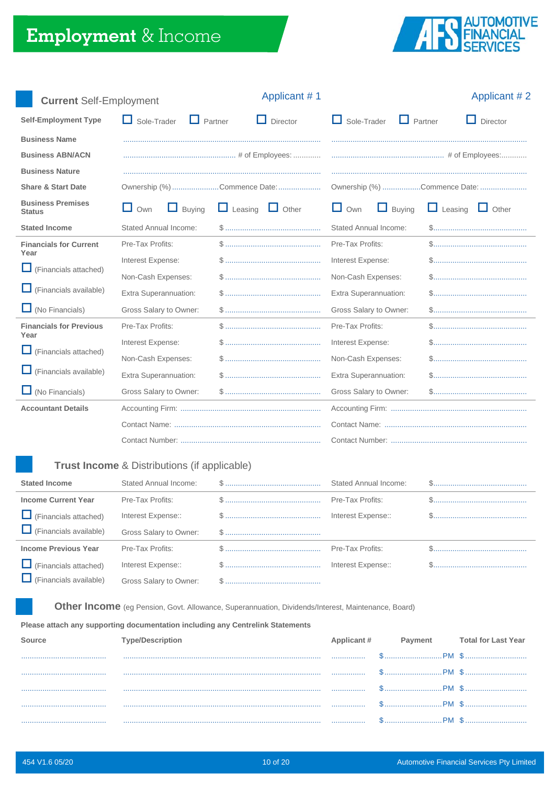

| <b>Current Self-Employment</b>            |                                  | Applicant #1                 |                                      | Applicant #2                                                                       |
|-------------------------------------------|----------------------------------|------------------------------|--------------------------------------|------------------------------------------------------------------------------------|
| <b>Self-Employment Type</b>               | $\Box$ Partner<br>Sole-Trader    | Director<br>. .              | $\Box$ Sole-Trader<br>$\Box$ Partner | Director<br>ш                                                                      |
| <b>Business Name</b>                      |                                  |                              |                                      |                                                                                    |
| <b>Business ABN/ACN</b>                   |                                  |                              |                                      |                                                                                    |
| <b>Business Nature</b>                    |                                  |                              |                                      |                                                                                    |
| <b>Share &amp; Start Date</b>             |                                  | Ownership (%) Commence Date: |                                      | Ownership (%) Commence Date:                                                       |
| <b>Business Premises</b><br><b>Status</b> | $\Box$ Own<br><b>Buying</b><br>ப | $\Box$ Leasing $\Box$ Other  | $\Box$ Own<br>$\Box$ Buying          | $\Box$ Leasing $\Box$ Other                                                        |
| <b>Stated Income</b>                      | <b>Stated Annual Income:</b>     |                              | <b>Stated Annual Income:</b>         |                                                                                    |
| <b>Financials for Current</b><br>Year     | Pre-Tax Profits:                 |                              | Pre-Tax Profits:                     |                                                                                    |
| ப<br>(Financials attached)                | Interest Expense:                |                              | Interest Expense:                    |                                                                                    |
|                                           | Non-Cash Expenses:               |                              | Non-Cash Expenses:                   |                                                                                    |
| (Financials available)                    | Extra Superannuation:            |                              | Extra Superannuation:                |                                                                                    |
| $\Box$ (No Financials)                    | Gross Salary to Owner:           |                              | Gross Salary to Owner:               | $\$\ldots\ldots\ldots\ldots\ldots\ldots\ldots\ldots\ldots\ldots\ldots\ldots\ldots$ |
| <b>Financials for Previous</b><br>Year    | Pre-Tax Profits:                 |                              | Pre-Tax Profits:                     |                                                                                    |
| ப                                         | Interest Expense:                |                              | Interest Expense:                    |                                                                                    |
| (Financials attached)                     | Non-Cash Expenses:               |                              | Non-Cash Expenses:                   |                                                                                    |
| (Financials available)<br>ப               | Extra Superannuation:            |                              | Extra Superannuation:                |                                                                                    |
| $\Box$ (No Financials)                    | Gross Salary to Owner:           |                              | Gross Salary to Owner:               |                                                                                    |
| <b>Accountant Details</b>                 |                                  |                              |                                      |                                                                                    |
|                                           |                                  |                              |                                      |                                                                                    |
|                                           |                                  |                              |                                      |                                                                                    |

# Trust Income & Distributions (if applicable)

| <b>Stated Income</b>          | Stated Annual Income:  | Stated Annual Income: |  |
|-------------------------------|------------------------|-----------------------|--|
| <b>Income Current Year</b>    | Pre-Tax Profits:       | Pre-Tax Profits:      |  |
| $\Box$ (Financials attached)  | Interest Expense::     | Interest Expense::    |  |
| $\Box$ (Financials available) | Gross Salary to Owner: |                       |  |
| <b>Income Previous Year</b>   | Pre-Tax Profits:       | Pre-Tax Profits:      |  |
| $\Box$ (Financials attached)  | Interest Expense::     | Interest Expense::    |  |
| $\Box$ (Financials available) | Gross Salary to Owner: |                       |  |

Other Income (eg Pension, Govt. Allowance, Superannuation, Dividends/Interest, Maintenance, Board)

#### Please attach any supporting documentation including any Centrelink Statements

|  |                                                                                                                                                                                                                                          | <b>Total for Last Year</b> |
|--|------------------------------------------------------------------------------------------------------------------------------------------------------------------------------------------------------------------------------------------|----------------------------|
|  |                                                                                                                                                                                                                                          | \$                         |
|  |                                                                                                                                                                                                                                          |                            |
|  |                                                                                                                                                                                                                                          |                            |
|  | <br><u> William Barbara (1994) - March Albert Albert Albert Albert Albert Albert Albert Albert Albert Albert Albert Albert Albert Albert Albert Albert Albert Albert Albert Albert Albert Albert Albert Albert Albert Albert Albert </u> |                            |
|  |                                                                                                                                                                                                                                          |                            |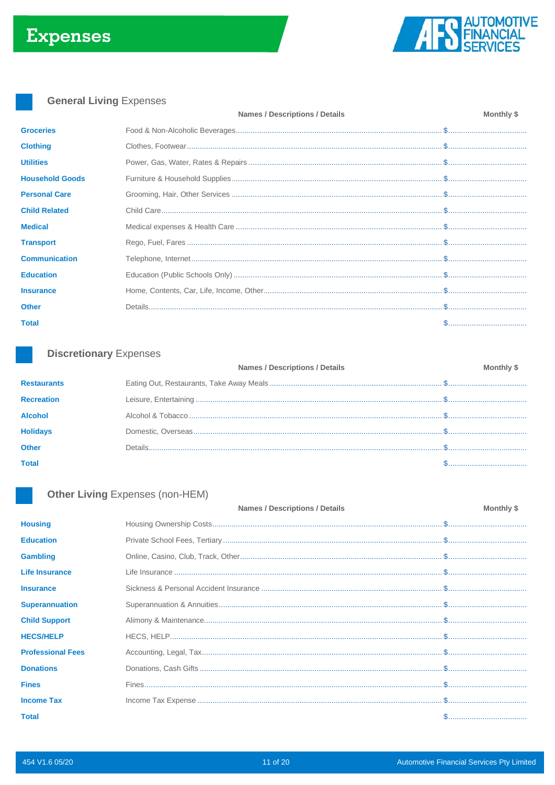

# **General Living Expenses**

|                        | <b>Names / Descriptions / Details</b> | Monthly \$ |
|------------------------|---------------------------------------|------------|
| <b>Groceries</b>       |                                       |            |
| <b>Clothing</b>        |                                       |            |
| <b>Utilities</b>       |                                       |            |
| <b>Household Goods</b> |                                       |            |
| <b>Personal Care</b>   |                                       |            |
| <b>Child Related</b>   |                                       |            |
| <b>Medical</b>         |                                       |            |
| <b>Transport</b>       |                                       |            |
| <b>Communication</b>   |                                       |            |
| <b>Education</b>       |                                       |            |
| <b>Insurance</b>       |                                       |            |
| <b>Other</b>           |                                       |            |
| <b>Total</b>           |                                       | \$         |
|                        |                                       |            |

# **Discretionary Expenses**

| <b>Monthly \$</b> |
|-------------------|
|                   |
|                   |
|                   |
|                   |
|                   |
|                   |
|                   |

# Other Living Expenses (non-HEM)

|                          | <b>Names / Descriptions / Details</b> | Monthly \$ |
|--------------------------|---------------------------------------|------------|
| <b>Housing</b>           |                                       |            |
| <b>Education</b>         |                                       |            |
| <b>Gambling</b>          |                                       |            |
| <b>Life Insurance</b>    |                                       |            |
| <b>Insurance</b>         |                                       |            |
| <b>Superannuation</b>    |                                       |            |
| <b>Child Support</b>     |                                       |            |
| <b>HECS/HELP</b>         |                                       |            |
| <b>Professional Fees</b> |                                       |            |
| <b>Donations</b>         |                                       |            |
| <b>Fines</b>             |                                       |            |
| <b>Income Tax</b>        |                                       |            |
| <b>Total</b>             |                                       |            |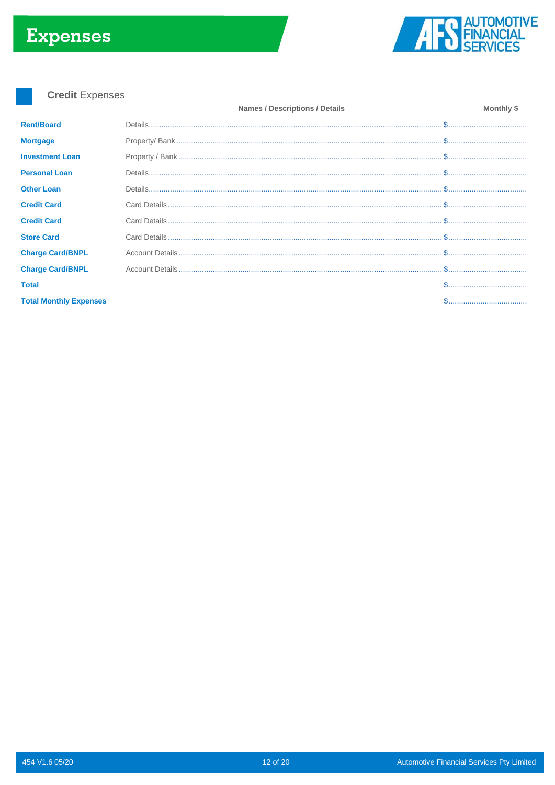# **Expenses**



**Credit Expenses** 

|                               | <b>Names / Descriptions / Details</b> | Monthly \$ |
|-------------------------------|---------------------------------------|------------|
| <b>Rent/Board</b>             |                                       |            |
| <b>Mortgage</b>               |                                       |            |
| <b>Investment Loan</b>        |                                       |            |
| <b>Personal Loan</b>          |                                       |            |
| <b>Other Loan</b>             |                                       |            |
| <b>Credit Card</b>            |                                       |            |
| <b>Credit Card</b>            |                                       |            |
| <b>Store Card</b>             |                                       |            |
| <b>Charge Card/BNPL</b>       |                                       |            |
| <b>Charge Card/BNPL</b>       |                                       |            |
| <b>Total</b>                  |                                       |            |
| <b>Total Monthly Expenses</b> |                                       |            |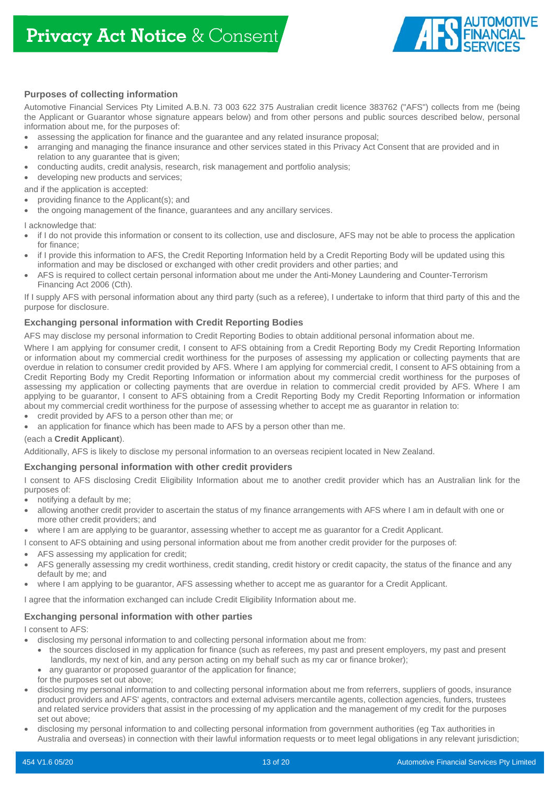

# **Purposes of collecting information**

Automotive Financial Services Pty Limited A.B.N. 73 003 622 375 Australian credit licence 383762 ("AFS") collects from me (being the Applicant or Guarantor whose signature appears below) and from other persons and public sources described below, personal information about me, for the purposes of:

- assessing the application for finance and the guarantee and any related insurance proposal;
- arranging and managing the finance insurance and other services stated in this Privacy Act Consent that are provided and in relation to any guarantee that is given;
- conducting audits, credit analysis, research, risk management and portfolio analysis;
- developing new products and services;

and if the application is accepted:

- providing finance to the Applicant(s); and
- the ongoing management of the finance, guarantees and any ancillary services.

I acknowledge that:

- if I do not provide this information or consent to its collection, use and disclosure, AFS may not be able to process the application for finance;
- if I provide this information to AFS, the Credit Reporting Information held by a Credit Reporting Body will be updated using this information and may be disclosed or exchanged with other credit providers and other parties; and
- AFS is required to collect certain personal information about me under the Anti-Money Laundering and Counter-Terrorism Financing Act 2006 (Cth).

If I supply AFS with personal information about any third party (such as a referee), I undertake to inform that third party of this and the purpose for disclosure.

### **Exchanging personal information with Credit Reporting Bodies**

AFS may disclose my personal information to Credit Reporting Bodies to obtain additional personal information about me.

Where I am applying for consumer credit, I consent to AFS obtaining from a Credit Reporting Body my Credit Reporting Information or information about my commercial credit worthiness for the purposes of assessing my application or collecting payments that are overdue in relation to consumer credit provided by AFS. Where I am applying for commercial credit, I consent to AFS obtaining from a Credit Reporting Body my Credit Reporting Information or information about my commercial credit worthiness for the purposes of assessing my application or collecting payments that are overdue in relation to commercial credit provided by AFS. Where I am applying to be guarantor, I consent to AFS obtaining from a Credit Reporting Body my Credit Reporting Information or information about my commercial credit worthiness for the purpose of assessing whether to accept me as guarantor in relation to:

- credit provided by AFS to a person other than me; or
- an application for finance which has been made to AFS by a person other than me.

#### (each a **Credit Applicant**).

Additionally, AFS is likely to disclose my personal information to an overseas recipient located in New Zealand.

#### **Exchanging personal information with other credit providers**

I consent to AFS disclosing Credit Eligibility Information about me to another credit provider which has an Australian link for the purposes of:

- notifying a default by me;
- allowing another credit provider to ascertain the status of my finance arrangements with AFS where I am in default with one or more other credit providers; and
- where I am are applying to be guarantor, assessing whether to accept me as guarantor for a Credit Applicant.

I consent to AFS obtaining and using personal information about me from another credit provider for the purposes of:

- AFS assessing my application for credit;
- AFS generally assessing my credit worthiness, credit standing, credit history or credit capacity, the status of the finance and any default by me; and
- where I am applying to be guarantor, AFS assessing whether to accept me as guarantor for a Credit Applicant.

I agree that the information exchanged can include Credit Eligibility Information about me.

### **Exchanging personal information with other parties**

I consent to AFS:

- disclosing my personal information to and collecting personal information about me from:
	- the sources disclosed in my application for finance (such as referees, my past and present employers, my past and present landlords, my next of kin, and any person acting on my behalf such as my car or finance broker);
	- any quarantor or proposed quarantor of the application for finance;
	- for the purposes set out above;
- disclosing my personal information to and collecting personal information about me from referrers, suppliers of goods, insurance product providers and AFS' agents, contractors and external advisers mercantile agents, collection agencies, funders, trustees and related service providers that assist in the processing of my application and the management of my credit for the purposes set out above;
- disclosing my personal information to and collecting personal information from government authorities (eg Tax authorities in Australia and overseas) in connection with their lawful information requests or to meet legal obligations in any relevant jurisdiction;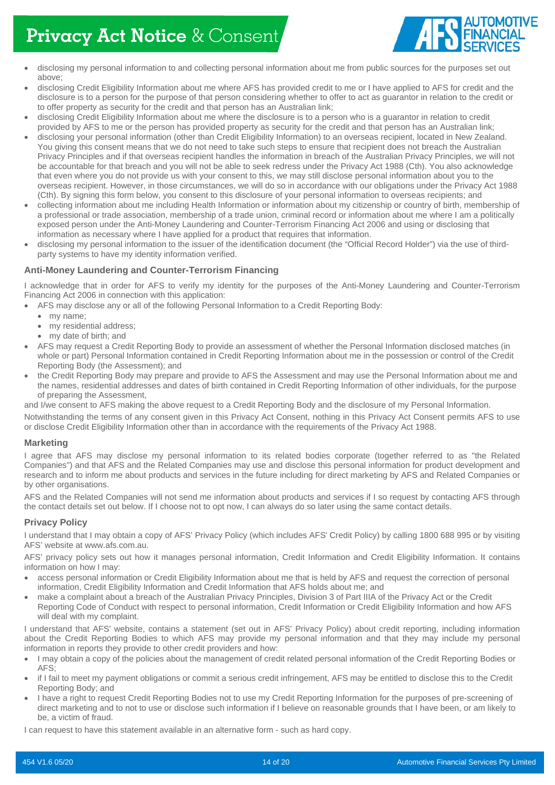# **Privacy Act Notice** & Consent



- disclosing my personal information to and collecting personal information about me from public sources for the purposes set out above;
- disclosing Credit Eligibility Information about me where AFS has provided credit to me or I have applied to AFS for credit and the disclosure is to a person for the purpose of that person considering whether to offer to act as guarantor in relation to the credit or to offer property as security for the credit and that person has an Australian link;
- disclosing Credit Eligibility Information about me where the disclosure is to a person who is a guarantor in relation to credit provided by AFS to me or the person has provided property as security for the credit and that person has an Australian link;
- disclosing your personal information (other than Credit Eligibility Information) to an overseas recipient, located in New Zealand. You giving this consent means that we do not need to take such steps to ensure that recipient does not breach the Australian Privacy Principles and if that overseas recipient handles the information in breach of the Australian Privacy Principles, we will not be accountable for that breach and you will not be able to seek redress under the Privacy Act 1988 (Cth). You also acknowledge that even where you do not provide us with your consent to this, we may still disclose personal information about you to the overseas recipient. However, in those circumstances, we will do so in accordance with our obligations under the Privacy Act 1988 (Cth). By signing this form below, you consent to this disclosure of your personal information to overseas recipients; and
- collecting information about me including Health Information or information about my citizenship or country of birth, membership of a professional or trade association, membership of a trade union, criminal record or information about me where I am a politically exposed person under the Anti-Money Laundering and Counter-Terrorism Financing Act 2006 and using or disclosing that information as necessary where I have applied for a product that requires that information.
- disclosing my personal information to the issuer of the identification document (the "Official Record Holder") via the use of thirdparty systems to have my identity information verified.

### **Anti-Money Laundering and Counter-Terrorism Financing**

I acknowledge that in order for AFS to verify my identity for the purposes of the Anti-Money Laundering and Counter-Terrorism Financing Act 2006 in connection with this application:

- AFS may disclose any or all of the following Personal Information to a Credit Reporting Body:
	- my name;
	- my residential address;
	- my date of birth; and
- AFS may request a Credit Reporting Body to provide an assessment of whether the Personal Information disclosed matches (in whole or part) Personal Information contained in Credit Reporting Information about me in the possession or control of the Credit Reporting Body (the Assessment); and
- the Credit Reporting Body may prepare and provide to AFS the Assessment and may use the Personal Information about me and the names, residential addresses and dates of birth contained in Credit Reporting Information of other individuals, for the purpose of preparing the Assessment,

and I/we consent to AFS making the above request to a Credit Reporting Body and the disclosure of my Personal Information.

Notwithstanding the terms of any consent given in this Privacy Act Consent, nothing in this Privacy Act Consent permits AFS to use or disclose Credit Eligibility Information other than in accordance with the requirements of the Privacy Act 1988.

### **Marketing**

I agree that AFS may disclose my personal information to its related bodies corporate (together referred to as "the Related Companies") and that AFS and the Related Companies may use and disclose this personal information for product development and research and to inform me about products and services in the future including for direct marketing by AFS and Related Companies or by other organisations.

AFS and the Related Companies will not send me information about products and services if I so request by contacting AFS through the contact details set out below. If I choose not to opt now, I can always do so later using the same contact details.

### **Privacy Policy**

I understand that I may obtain a copy of AFS' Privacy Policy (which includes AFS' Credit Policy) by calling 1800 688 995 or by visiting AFS' website at www.afs.com.au.

AFS' privacy policy sets out how it manages personal information, Credit Information and Credit Eligibility Information. It contains information on how I may:

- access personal information or Credit Eligibility Information about me that is held by AFS and request the correction of personal information, Credit Eligibility Information and Credit Information that AFS holds about me; and
- make a complaint about a breach of the Australian Privacy Principles, Division 3 of Part IIIA of the Privacy Act or the Credit Reporting Code of Conduct with respect to personal information, Credit Information or Credit Eligibility Information and how AFS will deal with my complaint.

I understand that AFS' website, contains a statement (set out in AFS' Privacy Policy) about credit reporting, including information about the Credit Reporting Bodies to which AFS may provide my personal information and that they may include my personal information in reports they provide to other credit providers and how:

- I may obtain a copy of the policies about the management of credit related personal information of the Credit Reporting Bodies or AFS;
- if I fail to meet my payment obligations or commit a serious credit infringement, AFS may be entitled to disclose this to the Credit Reporting Body; and
- I have a right to request Credit Reporting Bodies not to use my Credit Reporting Information for the purposes of pre-screening of direct marketing and to not to use or disclose such information if I believe on reasonable grounds that I have been, or am likely to be, a victim of fraud.

I can request to have this statement available in an alternative form - such as hard copy.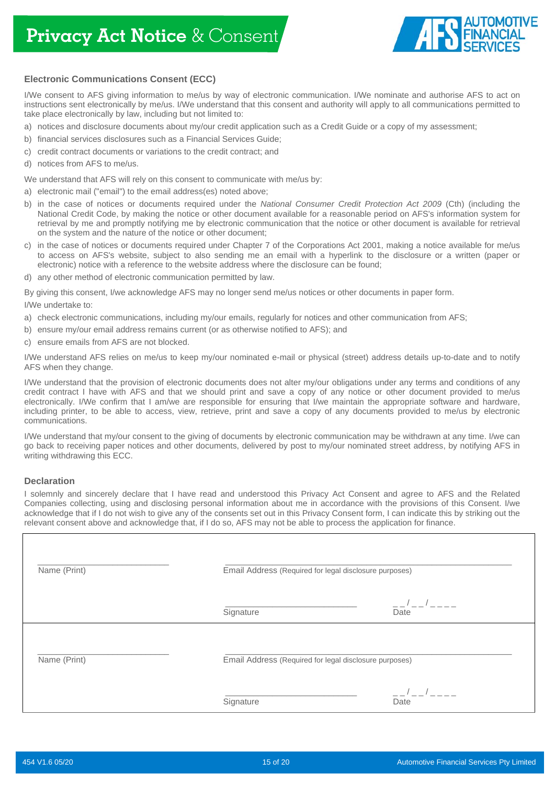

# **Electronic Communications Consent (ECC)**

I/We consent to AFS giving information to me/us by way of electronic communication. I/We nominate and authorise AFS to act on instructions sent electronically by me/us. I/We understand that this consent and authority will apply to all communications permitted to take place electronically by law, including but not limited to:

- a) notices and disclosure documents about my/our credit application such as a Credit Guide or a copy of my assessment;
- b) financial services disclosures such as a Financial Services Guide;
- c) credit contract documents or variations to the credit contract; and
- d) notices from AFS to me/us.

We understand that AFS will rely on this consent to communicate with me/us by:

a) electronic mail ("email") to the email address(es) noted above;

- b) in the case of notices or documents required under the *National Consumer Credit Protection Act 2009* (Cth) (including the National Credit Code, by making the notice or other document available for a reasonable period on AFS's information system for retrieval by me and promptly notifying me by electronic communication that the notice or other document is available for retrieval on the system and the nature of the notice or other document;
- c) in the case of notices or documents required under Chapter 7 of the Corporations Act 2001, making a notice available for me/us to access on AFS's website, subject to also sending me an email with a hyperlink to the disclosure or a written (paper or electronic) notice with a reference to the website address where the disclosure can be found;
- d) any other method of electronic communication permitted by law.

By giving this consent, I/we acknowledge AFS may no longer send me/us notices or other documents in paper form.

I/We undertake to:

- a) check electronic communications, including my/our emails, regularly for notices and other communication from AFS;
- b) ensure my/our email address remains current (or as otherwise notified to AFS); and
- c) ensure emails from AFS are not blocked.

I/We understand AFS relies on me/us to keep my/our nominated e-mail or physical (street) address details up-to-date and to notify AFS when they change.

I/We understand that the provision of electronic documents does not alter my/our obligations under any terms and conditions of any credit contract I have with AFS and that we should print and save a copy of any notice or other document provided to me/us electronically. I/We confirm that I am/we are responsible for ensuring that I/we maintain the appropriate software and hardware, including printer, to be able to access, view, retrieve, print and save a copy of any documents provided to me/us by electronic communications.

I/We understand that my/our consent to the giving of documents by electronic communication may be withdrawn at any time. I/we can go back to receiving paper notices and other documents, delivered by post to my/our nominated street address, by notifying AFS in writing withdrawing this ECC.

### **Declaration**

I solemnly and sincerely declare that I have read and understood this Privacy Act Consent and agree to AFS and the Related Companies collecting, using and disclosing personal information about me in accordance with the provisions of this Consent. I/we acknowledge that if I do not wish to give any of the consents set out in this Privacy Consent form, I can indicate this by striking out the relevant consent above and acknowledge that, if I do so, AFS may not be able to process the application for finance.

| Name (Print) | Email Address (Required for legal disclosure purposes) |                                  |
|--------------|--------------------------------------------------------|----------------------------------|
|              | Signature                                              | $\overline{\phantom{a}}$<br>Date |
| Name (Print) | Email Address (Required for legal disclosure purposes) |                                  |
|              | Signature                                              |                                  |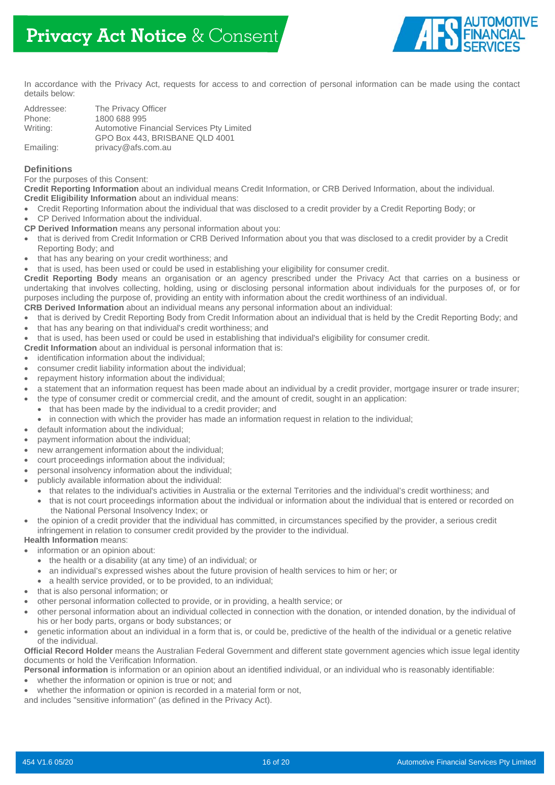

In accordance with the Privacy Act, requests for access to and correction of personal information can be made using the contact details below:

| Addressee: | The Privacy Officer                                                         |
|------------|-----------------------------------------------------------------------------|
| Phone:     | 1800 688 995                                                                |
| Writing:   | Automotive Financial Services Pty Limited<br>GPO Box 443, BRISBANE QLD 4001 |
| Emailing:  | privacy@afs.com.au                                                          |

## **Definitions**

For the purposes of this Consent:

**Credit Reporting Information** about an individual means Credit Information, or CRB Derived Information, about the individual. **Credit Eligibility Information** about an individual means:

- Credit Reporting Information about the individual that was disclosed to a credit provider by a Credit Reporting Body; or
- CP Derived Information about the individual.
- **CP Derived Information** means any personal information about you:
- that is derived from Credit Information or CRB Derived Information about you that was disclosed to a credit provider by a Credit Reporting Body; and
- that has any bearing on your credit worthiness; and
- that is used, has been used or could be used in establishing your eligibility for consumer credit.

**Credit Reporting Body** means an organisation or an agency prescribed under the Privacy Act that carries on a business or undertaking that involves collecting, holding, using or disclosing personal information about individuals for the purposes of, or for purposes including the purpose of, providing an entity with information about the credit worthiness of an individual.

- **CRB Derived Information** about an individual means any personal information about an individual:
- that is derived by Credit Reporting Body from Credit Information about an individual that is held by the Credit Reporting Body; and
- that has any bearing on that individual's credit worthiness; and
- that is used, has been used or could be used in establishing that individual's eligibility for consumer credit.

**Credit Information** about an individual is personal information that is:

- identification information about the individual;
- consumer credit liability information about the individual;
- repayment history information about the individual;
- a statement that an information request has been made about an individual by a credit provider, mortgage insurer or trade insurer;
- the type of consumer credit or commercial credit, and the amount of credit, sought in an application:
	- that has been made by the individual to a credit provider; and
	- in connection with which the provider has made an information request in relation to the individual;
- default information about the individual;
- payment information about the individual;
- new arrangement information about the individual;
- court proceedings information about the individual;
- personal insolvency information about the individual;
- publicly available information about the individual:
	- that relates to the individual's activities in Australia or the external Territories and the individual's credit worthiness; and
	- that is not court proceedings information about the individual or information about the individual that is entered or recorded on the National Personal Insolvency Index; or
- the opinion of a credit provider that the individual has committed, in circumstances specified by the provider, a serious credit infringement in relation to consumer credit provided by the provider to the individual.

### **Health Information** means:

- information or an opinion about:
	- the health or a disability (at any time) of an individual; or
	- an individual's expressed wishes about the future provision of health services to him or her; or
	- a health service provided, or to be provided, to an individual;
- that is also personal information; or
- other personal information collected to provide, or in providing, a health service; or
- other personal information about an individual collected in connection with the donation, or intended donation, by the individual of his or her body parts, organs or body substances; or
- genetic information about an individual in a form that is, or could be, predictive of the health of the individual or a genetic relative of the individual.

**Official Record Holder** means the Australian Federal Government and different state government agencies which issue legal identity documents or hold the Verification Information.

- **Personal information** is information or an opinion about an identified individual, or an individual who is reasonably identifiable:
- whether the information or opinion is true or not; and
- whether the information or opinion is recorded in a material form or not,

and includes "sensitive information" (as defined in the Privacy Act).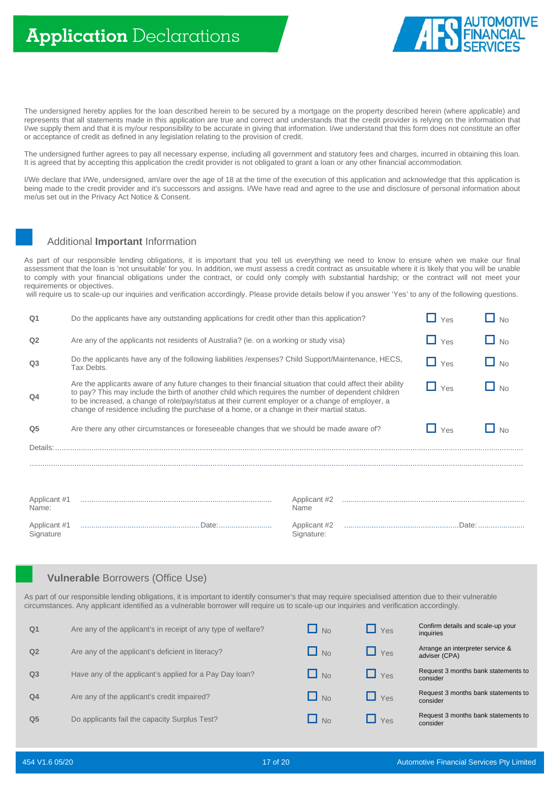

The undersigned hereby applies for the loan described herein to be secured by a mortgage on the property described herein (where applicable) and represents that all statements made in this application are true and correct and understands that the credit provider is relying on the information that I/we supply them and that it is my/our responsibility to be accurate in giving that information. I/we understand that this form does not constitute an offer or acceptance of credit as defined in any legislation relating to the provision of credit.

The undersigned further agrees to pay all necessary expense, including all government and statutory fees and charges, incurred in obtaining this loan. It is agreed that by accepting this application the credit provider is not obligated to grant a loan or any other financial accommodation.

I/We declare that I/We, undersigned, am/are over the age of 18 at the time of the execution of this application and acknowledge that this application is being made to the credit provider and it's successors and assigns. I/We have read and agree to the use and disclosure of personal information about me/us set out in the Privacy Act Notice & Consent.

# Additional **Important** Information

As part of our responsible lending obligations, it is important that you tell us everything we need to know to ensure when we make our final assessment that the loan is 'not unsuitable' for you. In addition, we must assess a credit contract as unsuitable where it is likely that you will be unable to comply with your financial obligations under the contract, or could only comply with substantial hardship; or the contract will not meet your requirements or objectives.

will require us to scale-up our inquiries and verification accordingly. Please provide details below if you answer 'Yes' to any of the following questions.

| Q <sub>1</sub>            | Do the applicants have any outstanding applications for credit other than this application?                                                                                                                                                                                                                                                                                                                                                    |                            |  | Yes      | N <sub>0</sub> |
|---------------------------|------------------------------------------------------------------------------------------------------------------------------------------------------------------------------------------------------------------------------------------------------------------------------------------------------------------------------------------------------------------------------------------------------------------------------------------------|----------------------------|--|----------|----------------|
| Q <sub>2</sub>            | Are any of the applicants not residents of Australia? (ie. on a working or study visa)                                                                                                                                                                                                                                                                                                                                                         |                            |  | H<br>Yes | $\Box$ No      |
| Q <sub>3</sub>            | Do the applicants have any of the following liabilities / expenses? Child Support/Maintenance, HECS,<br>Tax Debts.                                                                                                                                                                                                                                                                                                                             |                            |  | Yes      | $\Box$ No      |
| Q <sub>4</sub>            | Are the applicants aware of any future changes to their financial situation that could affect their ability<br>N <sub>0</sub><br>Yes<br>to pay? This may include the birth of another child which requires the number of dependent children<br>to be increased, a change of role/pay/status at their current employer or a change of employer, a<br>change of residence including the purchase of a home, or a change in their martial status. |                            |  |          |                |
| Q <sub>5</sub>            | Are there any other circumstances or foreseeable changes that we should be made aware of?                                                                                                                                                                                                                                                                                                                                                      |                            |  | Yes      | N <sub>0</sub> |
| Details:                  |                                                                                                                                                                                                                                                                                                                                                                                                                                                |                            |  |          |                |
|                           |                                                                                                                                                                                                                                                                                                                                                                                                                                                |                            |  |          |                |
| Applicant #1<br>Name:     |                                                                                                                                                                                                                                                                                                                                                                                                                                                | Applicant #2<br>Name       |  |          |                |
| Applicant #1<br>Signature |                                                                                                                                                                                                                                                                                                                                                                                                                                                | Applicant #2<br>Signature: |  |          |                |

# **Vulnerable** Borrowers (Office Use)

As part of our responsible lending obligations, it is important to identify consumer's that may require specialised attention due to their vulnerable circumstances. Any applicant identified as a vulnerable borrower will require us to scale-up our inquiries and verification accordingly.

| Q <sub>1</sub> | Are any of the applicant's in receipt of any type of welfare? | $\Box$ No | $\Box$ Yes          | Confirm details and scale-up your<br>inquiries    |
|----------------|---------------------------------------------------------------|-----------|---------------------|---------------------------------------------------|
| Q <sub>2</sub> | Are any of the applicant's deficient in literacy?             | $\Box$ No | $\sqrt{1 + \gamma}$ | Arrange an interpreter service &<br>adviser (CPA) |
| Q <sub>3</sub> | Have any of the applicant's applied for a Pay Day Ioan?       | $\Box$ No | $\blacksquare$ Yes  | Request 3 months bank statements to<br>consider   |
| Q <sub>4</sub> | Are any of the applicant's credit impaired?                   | $\Box$ No | $\Box$ Yes          | Request 3 months bank statements to<br>consider   |
| Q <sub>5</sub> | Do applicants fail the capacity Surplus Test?                 | $\Box$ No | Yes                 | Request 3 months bank statements to<br>consider   |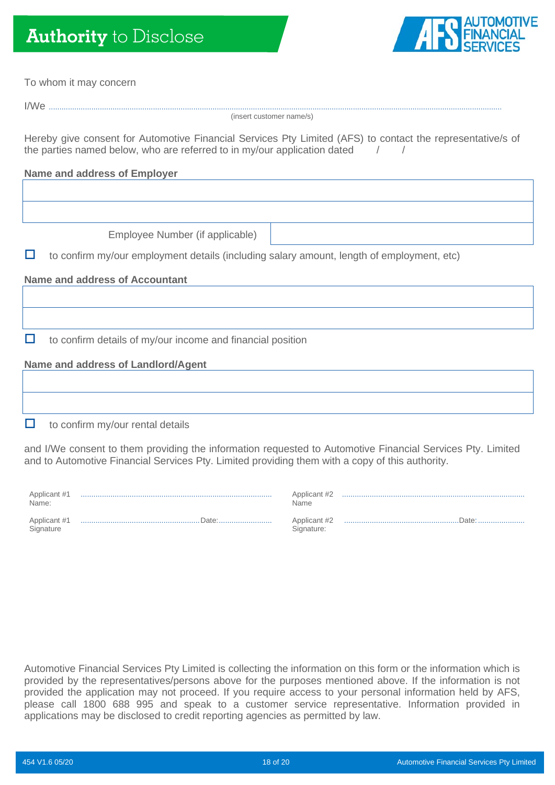# **Authority** to Disclose



| To whom it may concern                                                                                                                                                                                        |                      |
|---------------------------------------------------------------------------------------------------------------------------------------------------------------------------------------------------------------|----------------------|
|                                                                                                                                                                                                               |                      |
| (insert customer name/s)                                                                                                                                                                                      |                      |
| Hereby give consent for Automotive Financial Services Pty Limited (AFS) to contact the representative/s of<br>the parties named below, who are referred to in my/our application dated                        |                      |
| <b>Name and address of Employer</b>                                                                                                                                                                           |                      |
|                                                                                                                                                                                                               |                      |
|                                                                                                                                                                                                               |                      |
| Employee Number (if applicable)                                                                                                                                                                               |                      |
| to confirm my/our employment details (including salary amount, length of employment, etc)<br>u                                                                                                                |                      |
| <b>Name and address of Accountant</b>                                                                                                                                                                         |                      |
|                                                                                                                                                                                                               |                      |
|                                                                                                                                                                                                               |                      |
| to confirm details of my/our income and financial position<br>ப                                                                                                                                               |                      |
| <b>Name and address of Landlord/Agent</b>                                                                                                                                                                     |                      |
|                                                                                                                                                                                                               |                      |
|                                                                                                                                                                                                               |                      |
| □<br>to confirm my/our rental details                                                                                                                                                                         |                      |
| and I/We consent to them providing the information requested to Automotive Financial Services Pty. Limited<br>and to Automotive Financial Services Pty. Limited providing them with a copy of this authority. |                      |
| Applicant #1<br>Name:                                                                                                                                                                                         | Applicant #2<br>Name |

Applicant #1 ........................................................Date:......................... **Signature** 

| Name                       |  |
|----------------------------|--|
| Applicant #2<br>Signature: |  |

Automotive Financial Services Pty Limited is collecting the information on this form or the information which is provided by the representatives/persons above for the purposes mentioned above. If the information is not provided the application may not proceed. If you require access to your personal information held by AFS, please call 1800 688 995 and speak to a customer service representative. Information provided in applications may be disclosed to credit reporting agencies as permitted by law.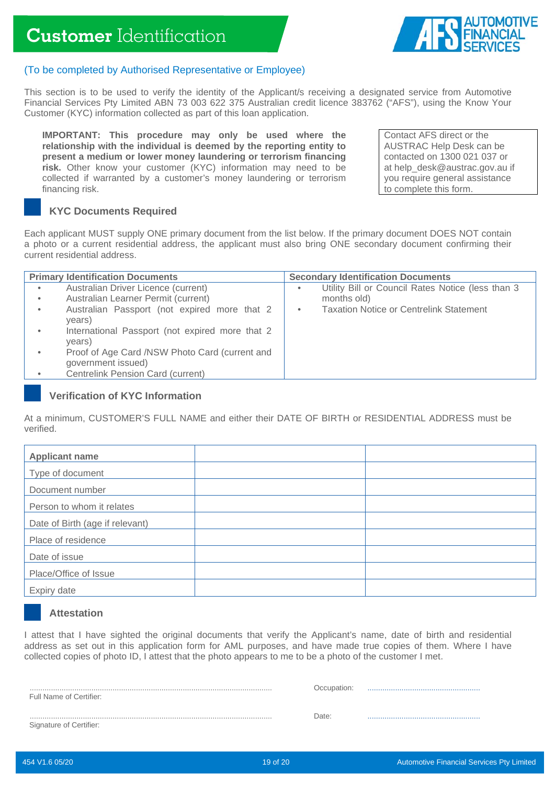

# (To be completed by Authorised Representative or Employee)

This section is to be used to verify the identity of the Applicant/s receiving a designated service from Automotive Financial Services Pty Limited ABN 73 003 622 375 Australian credit licence 383762 ("AFS"), using the Know Your Customer (KYC) information collected as part of this loan application.

**IMPORTANT: This procedure may only be used where the relationship with the individual is deemed by the reporting entity to present a medium or lower money laundering or terrorism financing risk.** Other know your customer (KYC) information may need to be collected if warranted by a customer's money laundering or terrorism financing risk.

Contact AFS direct or the AUSTRAC Help Desk can be contacted on 1300 021 037 or at help\_desk@austrac.gov.au if you require general assistance to complete this form.

# **KYC Documents Required**

Each applicant MUST supply ONE primary document from the list below. If the primary document DOES NOT contain a photo or a current residential address, the applicant must also bring ONE secondary document confirming their current residential address.

| <b>Primary Identification Documents</b> |                                                                                                                                                                                         | <b>Secondary Identification Documents</b>                                                                                    |  |
|-----------------------------------------|-----------------------------------------------------------------------------------------------------------------------------------------------------------------------------------------|------------------------------------------------------------------------------------------------------------------------------|--|
| ٠<br>$\bullet$<br>٠                     | Australian Driver Licence (current)<br>Australian Learner Permit (current)<br>Australian Passport (not expired more that 2<br>years)<br>International Passport (not expired more that 2 | Utility Bill or Council Rates Notice (less than 3<br>٠<br>months old)<br><b>Taxation Notice or Centrelink Statement</b><br>٠ |  |
| ٠                                       | years)<br>Proof of Age Card /NSW Photo Card (current and<br>government issued)<br><b>Centrelink Pension Card (current)</b>                                                              |                                                                                                                              |  |

# **Verification of KYC Information**

At a minimum, CUSTOMER'S FULL NAME and either their DATE OF BIRTH or RESIDENTIAL ADDRESS must be verified.

| <b>Applicant name</b>           |  |
|---------------------------------|--|
| Type of document                |  |
| Document number                 |  |
| Person to whom it relates       |  |
| Date of Birth (age if relevant) |  |
| Place of residence              |  |
| Date of issue                   |  |
| Place/Office of Issue           |  |
| Expiry date                     |  |

# **Attestation**

I attest that I have sighted the original documents that verify the Applicant's name, date of birth and residential address as set out in this application form for AML purposes, and have made true copies of them. Where I have collected copies of photo ID, I attest that the photo appears to me to be a photo of the customer I met.

.................................................................................................................. Full Name of Certifier:

| Occupation: |  |
|-------------|--|
|-------------|--|

.................................................................................................................. Signature of Certifier:

Date: .....................................................